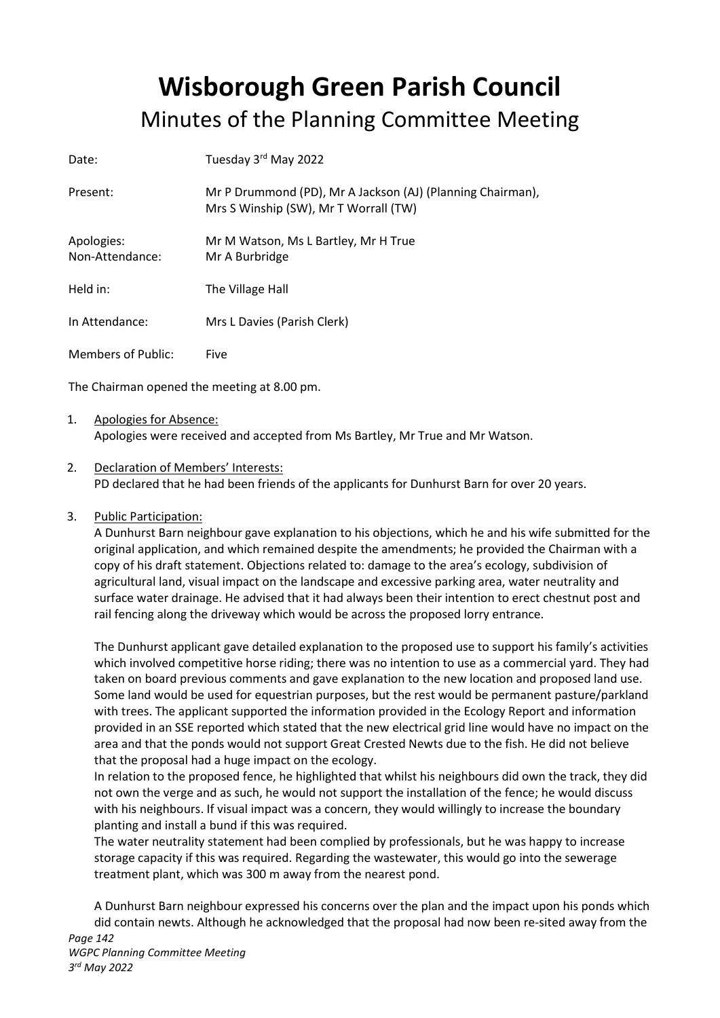## Wisborough Green Parish Council Minutes of the Planning Committee Meeting

| Date:                         | Tuesday 3rd May 2022                                                                                |
|-------------------------------|-----------------------------------------------------------------------------------------------------|
| Present:                      | Mr P Drummond (PD), Mr A Jackson (AJ) (Planning Chairman),<br>Mrs S Winship (SW), Mr T Worrall (TW) |
| Apologies:<br>Non-Attendance: | Mr M Watson, Ms L Bartley, Mr H True<br>Mr A Burbridge                                              |
| Held in:                      | The Village Hall                                                                                    |
| In Attendance:                | Mrs L Davies (Parish Clerk)                                                                         |
| Members of Public:            | Five                                                                                                |

The Chairman opened the meeting at 8.00 pm.

- 1. Apologies for Absence: Apologies were received and accepted from Ms Bartley, Mr True and Mr Watson.
- 2. Declaration of Members' Interests: PD declared that he had been friends of the applicants for Dunhurst Barn for over 20 years.
- 3. Public Participation:

A Dunhurst Barn neighbour gave explanation to his objections, which he and his wife submitted for the original application, and which remained despite the amendments; he provided the Chairman with a copy of his draft statement. Objections related to: damage to the area's ecology, subdivision of agricultural land, visual impact on the landscape and excessive parking area, water neutrality and surface water drainage. He advised that it had always been their intention to erect chestnut post and rail fencing along the driveway which would be across the proposed lorry entrance.

The Dunhurst applicant gave detailed explanation to the proposed use to support his family's activities which involved competitive horse riding; there was no intention to use as a commercial yard. They had taken on board previous comments and gave explanation to the new location and proposed land use. Some land would be used for equestrian purposes, but the rest would be permanent pasture/parkland with trees. The applicant supported the information provided in the Ecology Report and information provided in an SSE reported which stated that the new electrical grid line would have no impact on the area and that the ponds would not support Great Crested Newts due to the fish. He did not believe that the proposal had a huge impact on the ecology.

In relation to the proposed fence, he highlighted that whilst his neighbours did own the track, they did not own the verge and as such, he would not support the installation of the fence; he would discuss with his neighbours. If visual impact was a concern, they would willingly to increase the boundary planting and install a bund if this was required.

The water neutrality statement had been complied by professionals, but he was happy to increase storage capacity if this was required. Regarding the wastewater, this would go into the sewerage treatment plant, which was 300 m away from the nearest pond.

A Dunhurst Barn neighbour expressed his concerns over the plan and the impact upon his ponds which did contain newts. Although he acknowledged that the proposal had now been re-sited away from the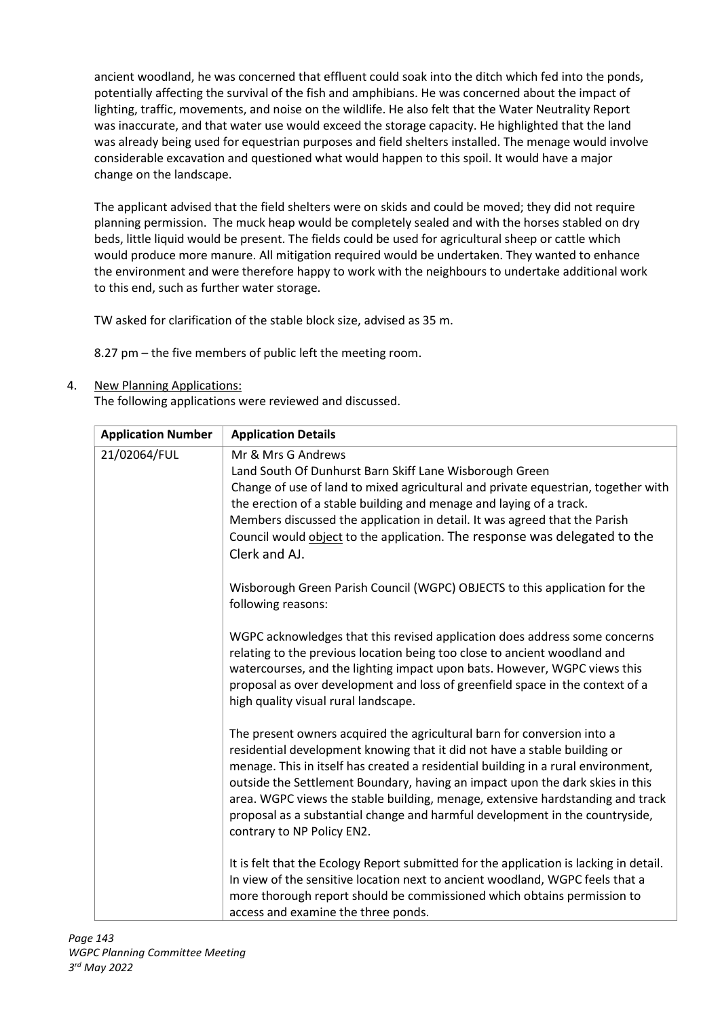ancient woodland, he was concerned that effluent could soak into the ditch which fed into the ponds, potentially affecting the survival of the fish and amphibians. He was concerned about the impact of lighting, traffic, movements, and noise on the wildlife. He also felt that the Water Neutrality Report was inaccurate, and that water use would exceed the storage capacity. He highlighted that the land was already being used for equestrian purposes and field shelters installed. The menage would involve considerable excavation and questioned what would happen to this spoil. It would have a major change on the landscape.

The applicant advised that the field shelters were on skids and could be moved; they did not require planning permission. The muck heap would be completely sealed and with the horses stabled on dry beds, little liquid would be present. The fields could be used for agricultural sheep or cattle which would produce more manure. All mitigation required would be undertaken. They wanted to enhance the environment and were therefore happy to work with the neighbours to undertake additional work to this end, such as further water storage.

TW asked for clarification of the stable block size, advised as 35 m.

8.27 pm – the five members of public left the meeting room.

4. New Planning Applications:

The following applications were reviewed and discussed.

| <b>Application Number</b> | <b>Application Details</b>                                                                                                                                                                                                                                                                                                                                                                                                                                                                                                 |
|---------------------------|----------------------------------------------------------------------------------------------------------------------------------------------------------------------------------------------------------------------------------------------------------------------------------------------------------------------------------------------------------------------------------------------------------------------------------------------------------------------------------------------------------------------------|
| 21/02064/FUL              | Mr & Mrs G Andrews<br>Land South Of Dunhurst Barn Skiff Lane Wisborough Green<br>Change of use of land to mixed agricultural and private equestrian, together with<br>the erection of a stable building and menage and laying of a track.<br>Members discussed the application in detail. It was agreed that the Parish                                                                                                                                                                                                    |
|                           | Council would object to the application. The response was delegated to the<br>Clerk and AJ.                                                                                                                                                                                                                                                                                                                                                                                                                                |
|                           | Wisborough Green Parish Council (WGPC) OBJECTS to this application for the<br>following reasons:                                                                                                                                                                                                                                                                                                                                                                                                                           |
|                           | WGPC acknowledges that this revised application does address some concerns<br>relating to the previous location being too close to ancient woodland and<br>watercourses, and the lighting impact upon bats. However, WGPC views this<br>proposal as over development and loss of greenfield space in the context of a<br>high quality visual rural landscape.                                                                                                                                                              |
|                           | The present owners acquired the agricultural barn for conversion into a<br>residential development knowing that it did not have a stable building or<br>menage. This in itself has created a residential building in a rural environment,<br>outside the Settlement Boundary, having an impact upon the dark skies in this<br>area. WGPC views the stable building, menage, extensive hardstanding and track<br>proposal as a substantial change and harmful development in the countryside,<br>contrary to NP Policy EN2. |
|                           | It is felt that the Ecology Report submitted for the application is lacking in detail.<br>In view of the sensitive location next to ancient woodland, WGPC feels that a<br>more thorough report should be commissioned which obtains permission to<br>access and examine the three ponds.                                                                                                                                                                                                                                  |